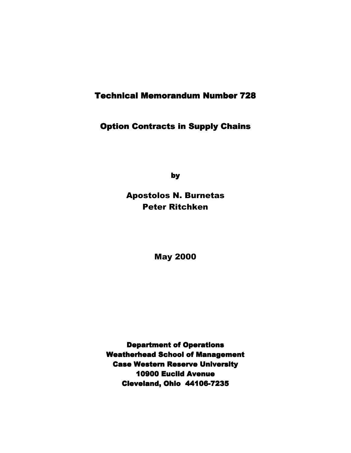## **Technical Memorandum Number 728**

### Option Contracts in Supply Chains

by

Apostolos N. Burnetas Peter Ritchken

May 2000

**Department of Operations Weatherhead School of Management Case Western Reserve University** 10900 Euclid Avenue Cleveland, Ohio 44106-7235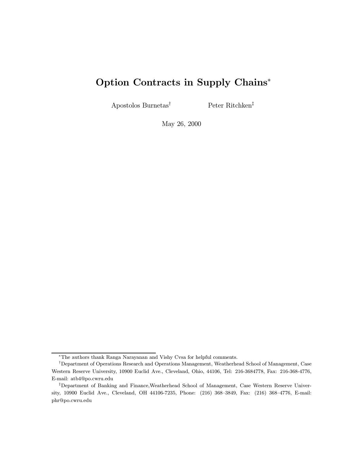# Option Contracts in Supply Chains<sup>\*</sup>

 $\begin{aligned} \text{Apostolos Burnetas}^{\dagger} \qquad \qquad & \text{Peter Ritchken}^{\ddagger} \end{aligned}$ 

May 26, 2000

<sup>¤</sup>The authors thank Ranga Narayanan and Vishy Cvsa for helpful comments.

<sup>&</sup>lt;sup>†</sup>Department of Operations Research and Operations Management, Weatherhead School of Management, Case Western Reserve University, 10900 Euclid Ave., Cleveland, Ohio, 44106, Tel: 216-3684778, Fax: 216-368-4776, E-mail: atb4@po.cwru.edu

<sup>&</sup>lt;sup>‡</sup>Department of Banking and Finance,Weatherhead School of Management, Case Western Reserve University, 10900 Euclid Ave., Cleveland, OH 44106-7235, Phone: (216) 368-3849, Fax: (216) 368-4776, E-mail: phr@po.cwru.edu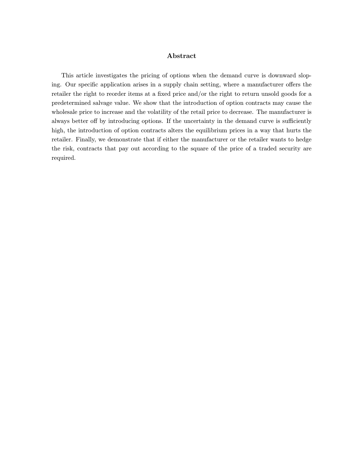### Abstract

This article investigates the pricing of options when the demand curve is downward sloping. Our specific application arises in a supply chain setting, where a manufacturer offers the retailer the right to reorder items at a fixed price and/or the right to return unsold goods for a predetermined salvage value. We show that the introduction of option contracts may cause the wholesale price to increase and the volatility of the retail price to decrease. The manufacturer is always better off by introducing options. If the uncertainty in the demand curve is sufficiently high, the introduction of option contracts alters the equilibrium prices in a way that hurts the retailer. Finally, we demonstrate that if either the manufacturer or the retailer wants to hedge the risk, contracts that pay out according to the square of the price of a traded security are required.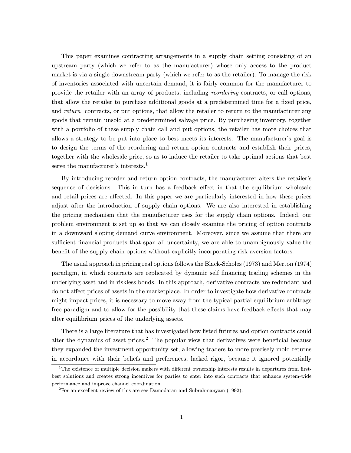This paper examines contracting arrangements in a supply chain setting consisting of an upstream party (which we refer to as the manufacturer) whose only access to the product market is via a single downstream party (which we refer to as the retailer). To manage the risk of inventories associated with uncertain demand, it is fairly common for the manufacturer to provide the retailer with an array of products, including reordering contracts, or call options, that allow the retailer to purchase additional goods at a predetermined time for a fixed price, and return contracts, or put options, that allow the retailer to return to the manufacturer any goods that remain unsold at a predetermined salvage price. By purchasing inventory, together with a portfolio of these supply chain call and put options, the retailer has more choices that allows a strategy to be put into place to best meets its interests. The manufacturer's goal is to design the terms of the reordering and return option contracts and establish their prices, together with the wholesale price, so as to induce the retailer to take optimal actions that best serve the manufacturer's interests.<sup>1</sup>

By introducing reorder and return option contracts, the manufacturer alters the retailer's sequence of decisions. This in turn has a feedback effect in that the equilibrium wholesale and retail prices are affected. In this paper we are particularly interested in how these prices adjust after the introduction of supply chain options. We are also interested in establishing the pricing mechanism that the manufacturer uses for the supply chain options. Indeed, our problem environment is set up so that we can closely examine the pricing of option contracts in a downward sloping demand curve environment. Moreover, since we assume that there are sufficient financial products that span all uncertainty, we are able to unambiguously value the benefit of the supply chain options without explicitly incorporating risk aversion factors.

The usual approach in pricing real options follows the Black-Scholes (1973) and Merton (1974) paradigm, in which contracts are replicated by dynamic self financing trading schemes in the underlying asset and in riskless bonds. In this approach, derivative contracts are redundant and do not affect prices of assets in the marketplace. In order to investigate how derivative contracts might impact prices, it is necessary to move away from the typical partial equilibrium arbitrage free paradigm and to allow for the possibility that these claims have feedback effects that may alter equilibrium prices of the underlying assets.

There is a large literature that has investigated how listed futures and option contracts could alter the dynamics of asset prices.<sup>2</sup> The popular view that derivatives were beneficial because they expanded the investment opportunity set, allowing traders to more precisely mold returns in accordance with their beliefs and preferences, lacked rigor, because it ignored potentially

 $1<sup>1</sup>$ The existence of multiple decision makers with different ownership interests results in departures from firstbest solutions and creates strong incentives for parties to enter into such contracts that enhance system-wide performance and improve channel coordination.

 ${}^{2}$ For an excellent review of this are see Damodaran and Subrahmanyam (1992).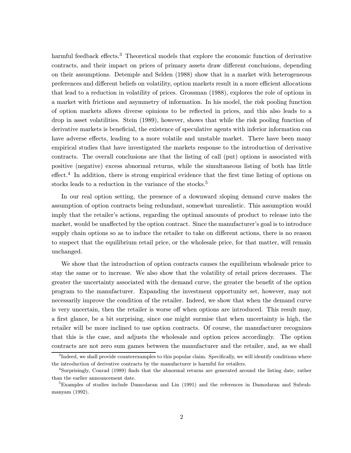harmful feedback effects.<sup>3</sup> Theoretical models that explore the economic function of derivative contracts, and their impact on prices of primary assets draw different conclusions, depending on their assumptions. Detemple and Selden (1988) show that in a market with heterogeneous preferences and different beliefs on volatility, option markets result in a more efficient allocations that lead to a reduction in volatility of prices. Grossman (1988), explores the role of options in a market with frictions and asymmetry of information. In his model, the risk pooling function of option markets allows diverse opinions to be reflected in prices, and this also leads to a drop in asset volatilities. Stein (1989), however, shows that while the risk pooling function of derivative markets is beneficial, the existence of speculative agents with inferior information can have adverse effects, leading to a more volatile and unstable market. There have been many empirical studies that have investigated the markets response to the introduction of derivative contracts. The overall conclusions are that the listing of call (put) options is associated with positive (negative) excess abnormal returns, while the simultaneous listing of both has little effect.<sup>4</sup> In addition, there is strong empirical evidence that the first time listing of options on stocks leads to a reduction in the variance of the stocks.<sup>5</sup>

In our real option setting, the presence of a downward sloping demand curve makes the assumption of option contracts being redundant, somewhat unrealistic. This assumption would imply that the retailer's actions, regarding the optimal amounts of product to release into the market, would be unaffected by the option contract. Since the manufacturer's goal is to introduce supply chain options so as to induce the retailer to take on different actions, there is no reason to suspect that the equilibrium retail price, or the wholesale price, for that matter, will remain unchanged.

We show that the introduction of option contracts causes the equilibrium wholesale price to stay the same or to increase. We also show that the volatility of retail prices decreases. The greater the uncertainty associated with the demand curve, the greater the benefit of the option program to the manufacturer. Expanding the investment opportunity set, however, may not necessarily improve the condition of the retailer. Indeed, we show that when the demand curve is very uncertain, then the retailer is worse off when options are introduced. This result may, a first glance, be a bit surprising, since one might surmise that when uncertainty is high, the retailer will be more inclined to use option contracts. Of course, the manufacturer recognizes that this is the case, and adjusts the wholesale and option prices accordingly. The option contracts are not zero sum games between the manufacturer and the retailer, and, as we shall

 $3$ Indeed, we shall provide counterexamples to this popular claim. Specifically, we will identify conditions where the introduction of derivative contracts by the manufacturer is harmful for retailers.

<sup>&</sup>lt;sup>4</sup>Surprisingly, Conrad (1989) finds that the abnormal returns are generated around the listing date, rather than the earlier announcement date.

<sup>&</sup>lt;sup>5</sup>Examples of studies include Damodaran and Lin (1991) and the references in Damodaran and Subrahmanyam (1992).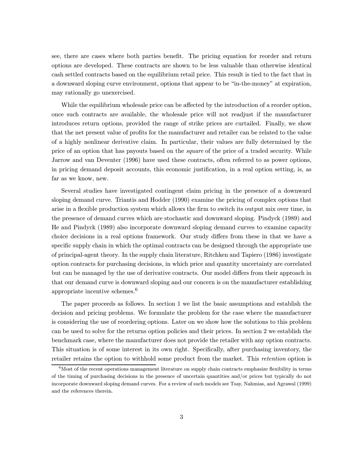see, there are cases where both parties benefit. The pricing equation for reorder and return options are developed. These contracts are shown to be less valuable than otherwise identical cash settled contracts based on the equilibrium retail price. This result is tied to the fact that in a downward sloping curve environment, options that appear to be "in-the-money" at expiration, may rationally go unexercised.

While the equilibrium wholesale price can be affected by the introduction of a reorder option, once such contracts are available, the wholesale price will not readjust if the manufacturer introduces return options, provided the range of strike prices are curtailed. Finally, we show that the net present value of profits for the manufacturer and retailer can be related to the value of a highly nonlinear derivative claim. In particular, their values are fully determined by the price of an option that has payouts based on the *square* of the price of a traded security. While Jarrow and van Deventer (1996) have used these contracts, often referred to as power options, in pricing demand deposit accounts, this economic justification, in a real option setting, is, as far as we know, new.

Several studies have investigated contingent claim pricing in the presence of a downward sloping demand curve. Triantis and Hodder (1990) examine the pricing of complex options that arise in a flexible production system which allows the firm to switch its output mix over time, in the presence of demand curves which are stochastic and downward sloping. Pindyck (1989) and He and Pindyck (1989) also incorporate downward sloping demand curves to examine capacity choice decisions in a real options framework. Our study differs from these in that we have a specific supply chain in which the optimal contracts can be designed through the appropriate use of principal-agent theory. In the supply chain literature, Ritchken and Tapiero (1986) investigate option contracts for purchasing decisions, in which price and quantity uncertainty are correlated but can be managed by the use of derivative contracts. Our model differs from their approach in that our demand curve is downward sloping and our concern is on the manufacturer establishing appropriate incentive schemes.<sup>6</sup>

The paper proceeds as follows. In section 1 we list the basic assumptions and establish the decision and pricing problems. We formulate the problem for the case where the manufacturer is considering the use of reordering options. Later on we show how the solutions to this problem can be used to solve for the returns option policies and their prices. In section 2 we establish the benchmark case, where the manufacturer does not provide the retailer with any option contracts. This situation is of some interest in its own right. Specifically, after purchasing inventory, the retailer retains the option to withhold some product from the market. This *retention* option is

 ${}^{6}$ Most of the recent operations management literature on supply chain contracts emphasize flexibility in terms of the timing of purchasing decisions in the presence of uncertain quantities and/or prices but typically do not incorporate downward sloping demand curves. For a review of such models see Tsay, Nahmias, and Agrawal (1999) and the references therein.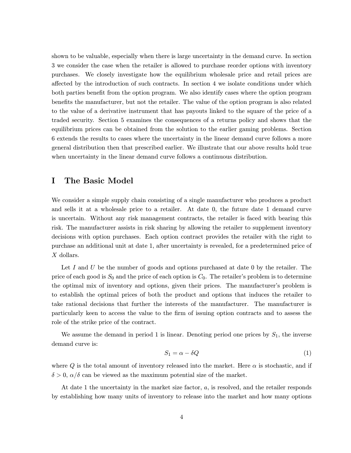shown to be valuable, especially when there is large uncertainty in the demand curve. In section 3 we consider the case when the retailer is allowed to purchase reorder options with inventory purchases. We closely investigate how the equilibrium wholesale price and retail prices are affected by the introduction of such contracts. In section 4 we isolate conditions under which both parties benefit from the option program. We also identify cases where the option program benefits the manufacturer, but not the retailer. The value of the option program is also related to the value of a derivative instrument that has payouts linked to the square of the price of a traded security. Section 5 examines the consequences of a returns policy and shows that the equilibrium prices can be obtained from the solution to the earlier gaming problems. Section 6 extends the results to cases where the uncertainty in the linear demand curve follows a more general distribution then that prescribed earlier. We illustrate that our above results hold true when uncertainty in the linear demand curve follows a continuous distribution.

### I The Basic Model

We consider a simple supply chain consisting of a single manufacturer who produces a product and sells it at a wholesale price to a retailer. At date 0, the future date 1 demand curve is uncertain. Without any risk management contracts, the retailer is faced with bearing this risk. The manufacturer assists in risk sharing by allowing the retailer to supplement inventory decisions with option purchases. Each option contract provides the retailer with the right to purchase an additional unit at date 1, after uncertainty is revealed, for a predetermined price of X dollars.

Let I and U be the number of goods and options purchased at date  $0$  by the retailer. The price of each good is  $S_0$  and the price of each option is  $C_0$ . The retailer's problem is to determine the optimal mix of inventory and options, given their prices. The manufacturer's problem is to establish the optimal prices of both the product and options that induces the retailer to take rational decisions that further the interests of the manufacturer. The manufacturer is particularly keen to access the value to the firm of issuing option contracts and to assess the role of the strike price of the contract.

We assume the demand in period 1 is linear. Denoting period one prices by  $S_1$ , the inverse demand curve is:

$$
S_1 = \alpha - \delta Q \tag{1}
$$

where Q is the total amount of inventory released into the market. Here  $\alpha$  is stochastic, and if  $\delta > 0$ ,  $\alpha/\delta$  can be viewed as the maximum potential size of the market.

At date 1 the uncertainty in the market size factor, a, is resolved, and the retailer responds by establishing how many units of inventory to release into the market and how many options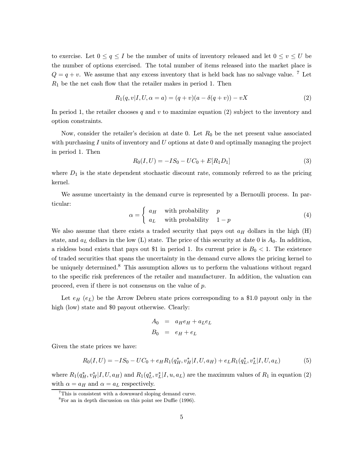to exercise. Let  $0 \le q \le I$  be the number of units of inventory released and let  $0 \le v \le U$  be the number of options exercised. The total number of items released into the market place is  $Q = q + v$ . We assume that any excess inventory that is held back has no salvage value. <sup>7</sup> Let  $R_1$  be the net cash flow that the retailer makes in period 1. Then

$$
R_1(q, v | I, U, \alpha = a) = (q + v)(a - \delta(q + v)) - vX
$$
\n(2)

In period 1, the retailer chooses q and v to maximize equation (2) subject to the inventory and option constraints.

Now, consider the retailer's decision at date 0. Let  $R_0$  be the net present value associated with purchasing  $I$  units of inventory and  $U$  options at date 0 and optimally managing the project in period 1. Then

$$
R_0(I, U) = -IS_0 - UC_0 + E[R_1D_1]
$$
\n(3)

where  $D_1$  is the state dependent stochastic discount rate, commonly referred to as the pricing kernel.

We assume uncertainty in the demand curve is represented by a Bernoulli process. In particular:

$$
\alpha = \begin{cases} a_H & \text{with probability} \\ a_L & \text{with probability} \end{cases} \begin{cases} p \\ 1 - p \end{cases}
$$
 (4)

We also assume that there exists a traded security that pays out  $a_H$  dollars in the high  $(H)$ state, and  $a_L$  dollars in the low (L) state. The price of this security at date 0 is  $A_0$ . In addition, a riskless bond exists that pays out \$1 in period 1. Its current price is  $B_0 < 1$ . The existence of traded securities that spans the uncertainty in the demand curve allows the pricing kernel to be uniquely determined.<sup>8</sup> This assumption allows us to perform the valuations without regard to the specific risk preferences of the retailer and manufacturer. In addition, the valuation can proceed, even if there is not consensus on the value of p.

Let  $e_H$  ( $e_L$ ) be the Arrow Debreu state prices corresponding to a \$1.0 payout only in the high (low) state and \$0 payout otherwise. Clearly:

$$
A_0 = a_H e_H + a_L e_L
$$
  

$$
B_0 = e_H + e_L
$$

Given the state prices we have:

$$
R_0(I, U) = -IS_0 - UC_0 + e_H R_1(q_H^*, v_H^* | I, U, a_H) + e_L R_1(q_L^*, v_L^* | I, U, a_L)
$$
(5)

where  $R_1(q_H^*, v_H^* | I, U, a_H)$  and  $R_1(q_L^*, v_L^* | I, u, a_L)$  are the maximum values of  $R_1$  in equation (2) with  $\alpha=a_H$  and  $\alpha=a_L$  respectively.

<sup>&</sup>lt;sup>7</sup>This is consistent with a downward sloping demand curve.

 ${}^{8}$ For an in depth discussion on this point see Duffie (1996).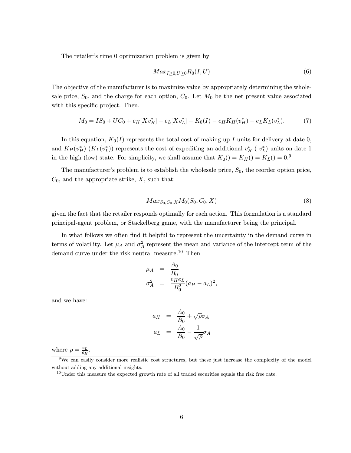The retailer's time 0 optimization problem is given by

$$
Max_{I\geq 0,U\geq 0}R_0(I,U) \tag{6}
$$

The objective of the manufacturer is to maximize value by appropriately determining the wholesale price,  $S_0$ , and the charge for each option,  $C_0$ . Let  $M_0$  be the net present value associated with this specific project. Then.

$$
M_0 = IS_0 + UC_0 + e_H[Xv_H^*] + e_L[Xv_L^*] - K_0(I) - e_HK_H(v_H^*) - e_LK_L(v_L^*).
$$
 (7)

In this equation,  $K_0(I)$  represents the total cost of making up I units for delivery at date 0, and  $K_H(v_H^*)$   $(K_L(v_L^*))$  represents the cost of expediting an additional  $v_H^*$  (  $v_L^*$ ) units on date 1 in the high (low) state. For simplicity, we shall assume that  $K_0() = K_H() = K_L() = 0.9$ 

The manufacturer's problem is to establish the wholesale price,  $S_0$ , the reorder option price,  $C_0$ , and the appropriate strike,  $X$ , such that:

$$
Max_{S_0, C_0, X} M_0(S_0, C_0, X) \tag{8}
$$

given the fact that the retailer responds optimally for each action. This formulation is a standard principal-agent problem, or Stackelberg game, with the manufacturer being the principal.

In what follows we often find it helpful to represent the uncertainty in the demand curve in terms of volatility. Let  $\mu_A$  and  $\sigma_A^2$  represent the mean and variance of the intercept term of the demand curve under the risk neutral measure.<sup>10</sup> Then

$$
\mu_A = \frac{A_0}{B_0}
$$
  

$$
\sigma_A^2 = \frac{e_H e_L}{B_0^2} (a_H - a_L)^2,
$$

and we have:

$$
a_H = \frac{A_0}{B_0} + \sqrt{\rho} \sigma_A
$$
  

$$
a_L = \frac{A_0}{B_0} - \frac{1}{\sqrt{\rho}} \sigma_A
$$

where  $\rho = \frac{e_L}{e_H}$ .

 $9W$ e can easily consider more realistic cost structures, but these just increase the complexity of the model without adding any additional insights.

<sup>&</sup>lt;sup>10</sup>Under this measure the expected growth rate of all traded securities equals the risk free rate.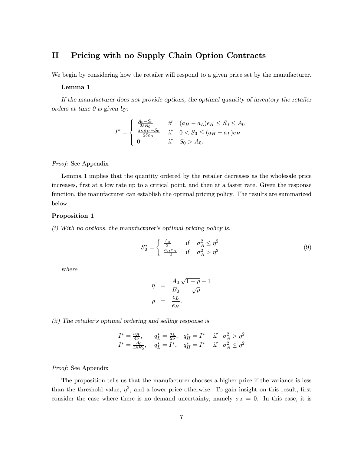### II Pricing with no Supply Chain Option Contracts

We begin by considering how the retailer will respond to a given price set by the manufacturer.

#### Lemma 1

If the manufacturer does not provide options, the optimal quantity of inventory the retailer orders at time 0 is given by:

$$
I^* = \begin{cases} \frac{A_0 - S_0}{2\delta B_0} & \text{if } (a_H - a_L)e_H \le S_0 \le A_0\\ \frac{a_H e_H - S_0}{2\delta e_H} & \text{if } 0 < S_0 \le (a_H - a_L)e_H\\ 0 & \text{if } S_0 > A_0. \end{cases}
$$

### Proof: See Appendix

Lemma 1 implies that the quantity ordered by the retailer decreases as the wholesale price increases, first at a low rate up to a critical point, and then at a faster rate. Given the response function, the manufacturer can establish the optimal pricing policy. The results are summarized below.

### Proposition 1

(i) With no options, the manufacturer's optimal pricing policy is:

$$
S_0^* = \begin{cases} \frac{A_0}{2} & \text{if } \sigma_A^2 \le \eta^2\\ \frac{a_H e_H}{2} & \text{if } \sigma_A^2 > \eta^2 \end{cases} \tag{9}
$$

where

$$
\eta = \frac{A_0}{B_0} \frac{\sqrt{1+\rho}-1}{\sqrt{\rho}}
$$

$$
\rho = \frac{e_L}{e_H}.
$$

(ii) The retailer's optimal ordering and selling response is

$$
I^* = \frac{a_H}{4\delta}, \qquad q_L^* = \frac{a_L}{2\delta}, \quad q_H^* = I^* \quad \text{if} \quad \sigma_A^2 > \eta^2
$$
  

$$
I^* = \frac{A_0}{4\delta B_0}, \quad q_L^* = I^*, \quad q_H^* = I^* \quad \text{if} \quad \sigma_A^2 \le \eta^2
$$

### Proof: See Appendix

The proposition tells us that the manufacturer chooses a higher price if the variance is less than the threshold value,  $\eta^2$ , and a lower price otherwise. To gain insight on this result, first consider the case where there is no demand uncertainty, namely  $\sigma_A = 0$ . In this case, it is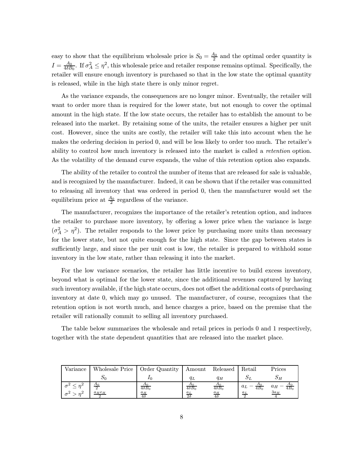easy to show that the equilibrium wholesale price is  $S_0 = \frac{A_0}{2}$  and the optimal order quantity is  $I = \frac{A_0}{4\delta B_0}$ . If  $\sigma_A^2 \leq \eta^2$ , this wholesale price and retailer response remains optimal. Specifically, the retailer will ensure enough inventory is purchased so that in the low state the optimal quantity is released, while in the high state there is only minor regret.

As the variance expands, the consequences are no longer minor. Eventually, the retailer will want to order more than is required for the lower state, but not enough to cover the optimal amount in the high state. If the low state occurs, the retailer has to establish the amount to be released into the market. By retaining some of the units, the retailer ensures a higher per unit cost. However, since the units are costly, the retailer will take this into account when the he makes the ordering decision in period 0, and will be less likely to order too much. The retailer's ability to control how much inventory is released into the market is called a *retention* option. As the volatility of the demand curve expands, the value of this retention option also expands.

The ability of the retailer to control the number of items that are released for sale is valuable, and is recognized by the manufacturer. Indeed, it can be shown that if the retailer was committed to releasing all inventory that was ordered in period 0, then the manufacturer would set the equilibrium price at  $\frac{A_0}{2}$  regardless of the variance.

The manufacturer, recognizes the importance of the retailer's retention option, and induces the retailer to purchase more inventory, by offering a lower price when the variance is large  $(\sigma_A^2 > \eta^2)$ . The retailer responds to the lower price by purchasing more units than necessary for the lower state, but not quite enough for the high state. Since the gap between states is sufficiently large, and since the per unit cost is low, the retailer is prepared to withhold some inventory in the low state, rather than releasing it into the market.

For the low variance scenarios, the retailer has little incentive to build excess inventory, beyond what is optimal for the lower state, since the additional revenues captured by having such inventory available, if the high state occurs, does not offset the additional costs of purchasing inventory at date 0, which may go unused. The manufacturer, of course, recognizes that the retention option is not worth much, and hence charges a price, based on the premise that the retailer will rationally commit to selling all inventory purchased.

The table below summarizes the wholesale and retail prices in periods 0 and 1 respectively, together with the state dependent quantities that are released into the market place.

| Variance               | Wholesale Price   Order Quantity |               | Amount                        | Released                 | Retail          | Prices          |
|------------------------|----------------------------------|---------------|-------------------------------|--------------------------|-----------------|-----------------|
|                        | ມເ                               |               |                               | qн                       |                 |                 |
| $\infty$ <sup>41</sup> | A <sub>0</sub>                   | $4\delta B_0$ | $\overline{4\delta B_0}$      | $\overline{4\delta B_0}$ | 4B <sub>0</sub> | $a_H$<br>$4B_0$ |
|                        | $a_{H}e_{H}$                     | $a_H$<br>40   | $a_L$<br>$\overline{2\delta}$ | $a_H$                    | $a_L$           | $\frac{3a_H}{}$ |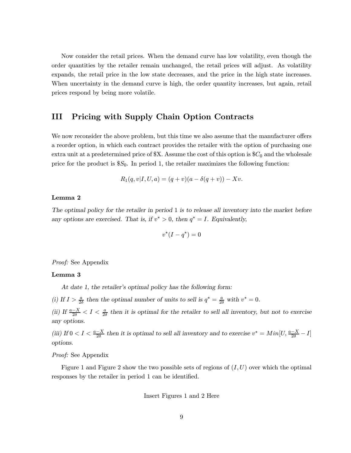Now consider the retail prices. When the demand curve has low volatility, even though the order quantities by the retailer remain unchanged, the retail prices will adjust. As volatility expands, the retail price in the low state decreases, and the price in the high state increases. When uncertainty in the demand curve is high, the order quantity increases, but again, retail prices respond by being more volatile.

### III Pricing with Supply Chain Option Contracts

We now reconsider the above problem, but this time we also assume that the manufacturer offers a reorder option, in which each contract provides the retailer with the option of purchasing one extra unit at a predetermined price of  $X$ . Assume the cost of this option is  $C_0$  and the wholesale price for the product is  $S_0$ . In period 1, the retailer maximizes the following function:

$$
R_1(q, v | I, U, a) = (q + v)(a - \delta(q + v)) - Xv.
$$

### Lemma 2

The optimal policy for the retailer in period 1 is to release all inventory into the market before any options are exercised. That is, if  $v^* > 0$ , then  $q^* = I$ . Equivalently,

$$
v^*(I-q^*)=0
$$

Proof: See Appendix

### Lemma 3

At date 1, the retailer's optimal policy has the following form:

(i) If  $I > \frac{a}{2\delta}$  then the optimal number of units to sell is  $q^* = \frac{a}{2\delta}$  with  $v^* = 0$ .

(ii) If  $\frac{a-X}{2\delta} < I < \frac{a}{2\delta}$  then it is optimal for the retailer to sell all inventory, but not to exercise any options.

(iii) If  $0 < I < \frac{a-X}{2\delta}$  then it is optimal to sell all inventory and to exercise  $v^* = Min[U, \frac{a-X}{2\delta} - I]$ options.

### Proof: See Appendix

Figure 1 and Figure 2 show the two possible sets of regions of  $(I, U)$  over which the optimal responses by the retailer in period 1 can be identified.

Insert Figures 1 and 2 Here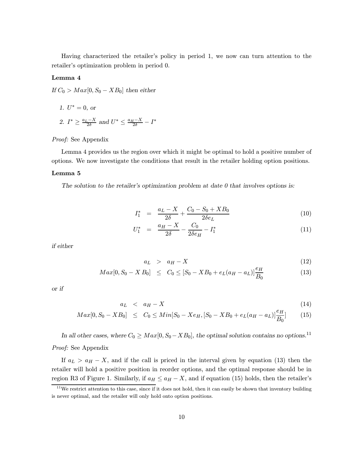Having characterized the retailer's policy in period 1, we now can turn attention to the retailer's optimization problem in period 0.

### Lemma 4

If  $C_0 > Max[0, S_0 - XB_0]$  then either

- 1.  $U^* = 0$ , or
- 2.  $I^* \geq \frac{a_L X}{2\delta}$  and  $U^* \leq \frac{a_H X}{2\delta} I^*$

### Proof: See Appendix

Lemma 4 provides us the region over which it might be optimal to hold a positive number of options. We now investigate the conditions that result in the retailer holding option positions.

### Lemma 5

The solution to the retailer's optimization problem at date  $0$  that involves options is:

$$
I_1^* = \frac{a_L - X}{2\delta} + \frac{C_0 - S_0 + XB_0}{2\delta e_L} \tag{10}
$$

$$
U_1^* = \frac{a_H - X}{2\delta} - \frac{C_0}{2\delta e_H} - I_1^*
$$
\n(11)

if either

$$
a_L > a_H - X \tag{12}
$$

$$
Max[0, S_0 - X B_0] \leq C_0 \leq [S_0 - XB_0 + e_L(a_H - a_L)] \frac{e_H}{B_0}
$$
\n(13)

or if

$$
a_L < a_H - X \tag{14}
$$

$$
Max[0, S_0 - XB_0] \le C_0 \le Min[S_0 - Xe_H, [S_0 - XB_0 + e_L(a_H - a_L)]\frac{e_H}{B_0}] \tag{15}
$$

In all other cases, where  $C_0 \geq Max[0, S_0 - XB_0]$ , the optimal solution contains no options.<sup>11</sup> Proof: See Appendix

If  $a_L > a_H - X$ , and if the call is priced in the interval given by equation (13) then the retailer will hold a positive position in reorder options, and the optimal response should be in region R3 of Figure 1. Similarly, if  $a_H \le a_H - X$ , and if equation (15) holds, then the retailer's

 $11$ We restrict attention to this case, since if it does not hold, then it can easily be shown that inventory building is never optimal, and the retailer will only hold onto option positions.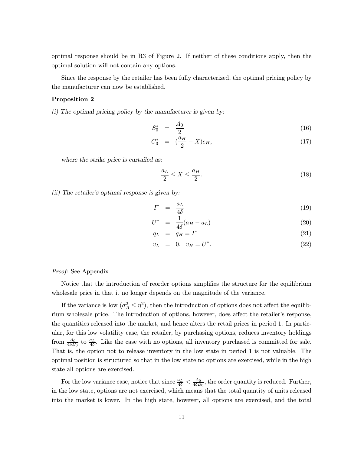optimal response should be in R3 of Figure 2. If neither of these conditions apply, then the optimal solution will not contain any options.

Since the response by the retailer has been fully characterized, the optimal pricing policy by the manufacturer can now be established.

#### Proposition 2

(i) The optimal pricing policy by the manufacturer is given by:

$$
S_0^* = \frac{A_0}{2} \tag{16}
$$

$$
C_0^* = (\frac{a_H}{2} - X)e_H, \t\t(17)
$$

where the strike price is curtailed as:

$$
\frac{a_L}{2} \le X \le \frac{a_H}{2}.\tag{18}
$$

(ii) The retailer's optimal response is given by:

$$
I^* = \frac{a_L}{4\delta} \tag{19}
$$

$$
U^* = \frac{1}{4\delta}(a_H - a_L) \tag{20}
$$

$$
q_L = q_H = I^* \tag{21}
$$

$$
v_L = 0, \ v_H = U^*.
$$
 (22)

#### Proof: See Appendix

Notice that the introduction of reorder options simplifies the structure for the equilibrium wholesale price in that it no longer depends on the magnitude of the variance.

If the variance is low  $(\sigma_A^2 \leq \eta^2)$ , then the introduction of options does not affect the equilibrium wholesale price. The introduction of options, however, does affect the retailer's response, the quantities released into the market, and hence alters the retail prices in period 1. In particular, for this low volatility case, the retailer, by purchasing options, reduces inventory holdings from  $\frac{A_0}{4\delta B_0}$  to  $\frac{a_L}{4\delta}$ . Like the case with no options, all inventory purchased is committed for sale. That is, the option not to release inventory in the low state in period 1 is not valuable. The optimal position is structured so that in the low state no options are exercised, while in the high state all options are exercised.

For the low variance case, notice that since  $\frac{a_L}{4\delta} < \frac{A_0}{4\delta B_0}$ , the order quantity is reduced. Further, in the low state, options are not exercised, which means that the total quantity of units released into the market is lower. In the high state, however, all options are exercised, and the total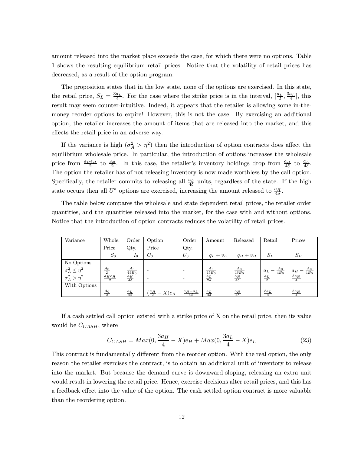amount released into the market place exceeds the case, for which there were no options. Table 1 shows the resulting equilibrium retail prices. Notice that the volatility of retail prices has decreased, as a result of the option program.

The proposition states that in the low state, none of the options are exercised. In this state, the retail price,  $S_L = \frac{3a_L}{4}$ . For the case where the strike price is in the interval,  $\left[\frac{a_L}{2}, \frac{3a_L}{4}\right]$ , this result may seem counter-intuitive. Indeed, it appears that the retailer is allowing some in-themoney reorder options to expire! However, this is not the case. By exercising an additional option, the retailer increases the amount of items that are released into the market, and this effects the retail price in an adverse way.

If the variance is high  $(\sigma_A^2 > \eta^2)$  then the introduction of option contracts does affect the equilibrium wholesale price. In particular, the introduction of options increases the wholesale price from  $\frac{a_He}{2}$  to  $\frac{A_0}{2}$ . In this case, the retailer's inventory holdings drop from  $\frac{a_H}{4\delta}$  to  $\frac{a_L}{4\delta}$ . The option the retailer has of not releasing inventory is now made worthless by the call option. Specifically, the retailer commits to releasing all  $\frac{a_L}{4\delta}$  units, regardless of the state. If the high state occurs then all  $U^*$  options are exercised, increasing the amount released to  $\frac{a_H}{4\delta}$ .

The table below compares the wholesale and state dependent retail prices, the retailer order quantities, and the quantities released into the market, for the case with and without options. Notice that the introduction of option contracts reduces the volatility of retail prices.

| Variance                 | Whole.                         | Order                  | Option                            | Order                    | Amount                 | Released                  | Retail                      | Prices                      |
|--------------------------|--------------------------------|------------------------|-----------------------------------|--------------------------|------------------------|---------------------------|-----------------------------|-----------------------------|
|                          | Price                          | Qty.                   | Price                             | Qty.                     |                        |                           |                             |                             |
|                          | $S_0$                          | $I_0$                  | $C_0$                             | $U_0$                    | $q_L + v_L$            | $q_H + v_H$               | $S_L$                       | $S_H$                       |
| No Options               |                                |                        |                                   |                          |                        |                           |                             |                             |
| $\sigma_A^2 \leq \eta^2$ | $\frac{A_0}{2}$                | $A_0$<br>$4\delta B_0$ |                                   |                          | $A_0$<br>$4\delta B_0$ | $\frac{A_0}{4\delta B_0}$ | $\frac{A_0}{4B_0}$<br>$a_L$ | $\frac{A_0}{4B_0}$<br>$a_H$ |
| $\sigma_A^2 > \eta^2$    | $a_{H}e_{H}$<br>$\overline{2}$ | $\frac{a_H}{4\delta}$  |                                   |                          | $\frac{a_L}{2\delta}$  | $\frac{a_H}{4\delta}$     | $\frac{a_L}{2}$             | $\frac{3a_H}{2a}$           |
| With Options             |                                |                        |                                   |                          |                        |                           |                             |                             |
|                          | A <sub>0</sub>                 | $\frac{a_L}{4\delta}$  | $\left(\frac{a_H}{2}-X\right)e_H$ | $a_H - a_L$<br>$4\delta$ | $\frac{a_L}{4\delta}$  | $\frac{a_H}{4\delta}$     | $3a_L$                      | $3a_H$                      |

If a cash settled call option existed with a strike price of X on the retail price, then its value would be  $C_{CASH}$ , where

$$
C_{CASH} = Max(0, \frac{3a_H}{4} - X)e_H + Max(0, \frac{3a_L}{4} - X)e_L
$$
\n(23)

This contract is fundamentally different from the reorder option. With the real option, the only reason the retailer exercises the contract, is to obtain an additional unit of inventory to release into the market. But because the demand curve is downward sloping, releasing an extra unit would result in lowering the retail price. Hence, exercise decisions alter retail prices, and this has a feedback effect into the value of the option. The cash settled option contract is more valuable than the reordering option.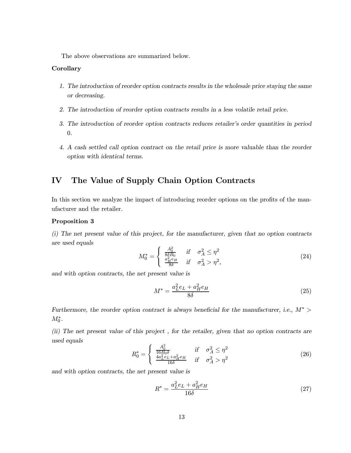The above observations are summarized below.

### Corollary

- 1. The introduction of reorder option contracts results in the wholesale price staying the same or decreasing.
- 2. The introduction of reorder option contracts results in a less volatile retail price.
- 3. The introduction of reorder option contracts reduces retailer's order quantities in period 0.
- 4. A cash settled call option contract on the retail price is more valuable than the reorder option with identical terms.

### IV The Value of Supply Chain Option Contracts

In this section we analyze the impact of introducing reorder options on the profits of the manufacturer and the retailer.

### Proposition 3

(i) The net present value of this project, for the manufacturer, given that no option contracts are used equals

$$
M_0^* = \begin{cases} \frac{A_0^2}{8\delta B_0} & \text{if } \sigma_A^2 \le \eta^2\\ \frac{a_H^2 e_H}{8\delta} & \text{if } \sigma_A^2 > \eta^2, \end{cases}
$$
(24)

and with option contracts, the net present value is

$$
M^* = \frac{a_L^2 e_L + a_H^2 e_H}{8\delta} \tag{25}
$$

Furthermore, the reorder option contract is always beneficial for the manufacturer, i.e.,  $M^*$  $M_{0}^{\ast}.$ 

(ii) The net present value of this project , for the retailer, given that no option contracts are used equals

$$
R_0^* = \begin{cases} \frac{A_0^2}{16B_0\delta} & \text{if } \sigma_A^2 \le \eta^2\\ \frac{4a_L^2e_L + a_H^2e_H}{16\delta} & \text{if } \sigma_A^2 > \eta^2 \end{cases}
$$
 (26)

and with option contracts, the net present value is

$$
R^* = \frac{a_L^2 e_L + a_H^2 e_H}{16\delta} \tag{27}
$$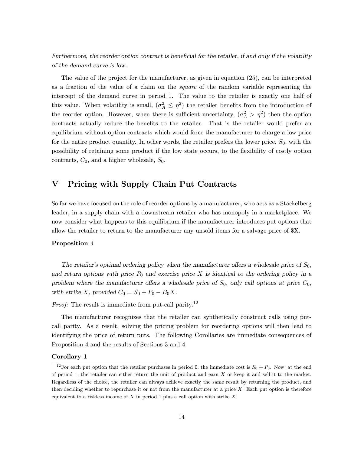Furthermore, the reorder option contract is beneficial for the retailer, if and only if the volatility of the demand curve is low.

The value of the project for the manufacturer, as given in equation (25), can be interpreted as a fraction of the value of a claim on the square of the random variable representing the intercept of the demand curve in period 1. The value to the retailer is exactly one half of this value. When volatility is small,  $(\sigma_A^2 \leq \eta^2)$  the retailer benefits from the introduction of the reorder option. However, when there is sufficient uncertainty,  $(\sigma_A^2 > \eta^2)$  then the option contracts actually reduce the benefits to the retailer. That is the retailer would prefer an equilibrium without option contracts which would force the manufacturer to charge a low price for the entire product quantity. In other words, the retailer prefers the lower price,  $S_0$ , with the possibility of retaining some product if the low state occurs, to the flexibility of costly option contracts,  $C_0$ , and a higher wholesale,  $S_0$ .

### V Pricing with Supply Chain Put Contracts

So far we have focused on the role of reorder options by a manufacturer, who acts as a Stackelberg leader, in a supply chain with a downstream retailer who has monopoly in a marketplace. We now consider what happens to this equilibrium if the manufacturer introduces put options that allow the retailer to return to the manufacturer any unsold items for a salvage price of \$X.

### Proposition 4

The retailer's optimal ordering policy when the manufacturer offers a wholesale price of  $S_0$ , and return options with price  $P_0$  and exercise price X is identical to the ordering policy in a problem where the manufacturer offers a wholesale price of  $S_0$ , only call options at price  $C_0$ , with strike X, provided  $C_0 = S_0 + P_0 - B_0X$ .

Proof: The result is immediate from put-call parity.<sup>12</sup>

The manufacturer recognizes that the retailer can synthetically construct calls using putcall parity. As a result, solving the pricing problem for reordering options will then lead to identifying the price of return puts. The following Corollaries are immediate consequences of Proposition 4 and the results of Sections 3 and 4.

### Corollary 1

<sup>&</sup>lt;sup>12</sup>For each put option that the retailer purchases in period 0, the immediate cost is  $S_0 + P_0$ . Now, at the end of period 1, the retailer can either return the unit of product and earn X or keep it and sell it to the market. Regardless of the choice, the retailer can always achieve exactly the same result by returning the product, and then deciding whether to repurchase it or not from the manufacturer at a price  $X$ . Each put option is therefore equivalent to a riskless income of  $X$  in period 1 plus a call option with strike  $X$ .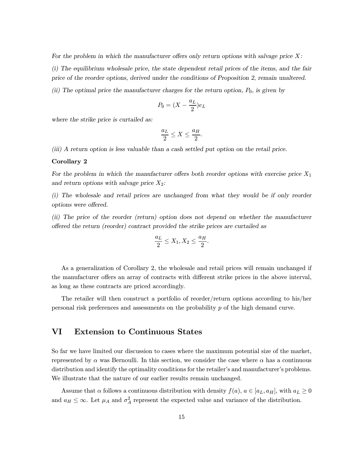For the problem in which the manufacturer offers only return options with salvage price  $X$ : (i) The equilibrium wholesale price, the state dependent retail prices of the items, and the fair price of the reorder options, derived under the conditions of Proposition 2, remain unaltered.

(ii) The optimal price the manufacturer charges for the return option,  $P_0$ , is given by

$$
P_0 = (X - \frac{a_L}{2})e_L
$$

where the strike price is curtailed as:

$$
\frac{a_L}{2} \le X \le \frac{a_H}{2}.
$$

(iii) A return option is less valuable than a cash settled put option on the retail price.

#### Corollary 2

For the problem in which the manufacturer offers both reorder options with exercise price  $X_1$ and return options with salvage price  $X_2$ :

(i) The wholesale and retail prices are unchanged from what they would be if only reorder options were offered.

(ii) The price of the reorder (return) option does not depend on whether the manufacturer offered the return (reorder) contract provided the strike prices are curtailed as

$$
\frac{a_L}{2} \le X_1, X_2 \le \frac{a_H}{2}.
$$

As a generalization of Corollary 2, the wholesale and retail prices will remain unchanged if the manufacturer offers an array of contracts with different strike prices in the above interval, as long as these contracts are priced accordingly.

The retailer will then construct a portfolio of reorder/return options according to his/her personal risk preferences and assessments on the probability  $p$  of the high demand curve.

### VI Extension to Continuous States

So far we have limited our discussion to cases where the maximum potential size of the market, represented by  $\alpha$  was Bernoulli. In this section, we consider the case where  $\alpha$  has a continuous distribution and identify the optimality conditions for the retailer's and manufacturer's problems. We illustrate that the nature of our earlier results remain unchanged.

Assume that  $\alpha$  follows a continuous distribution with density  $f(a)$ ,  $a \in [a_L, a_H]$ , with  $a_L \geq 0$ and  $a_H \leq \infty$ . Let  $\mu_A$  and  $\sigma_A^2$  represent the expected value and variance of the distribution.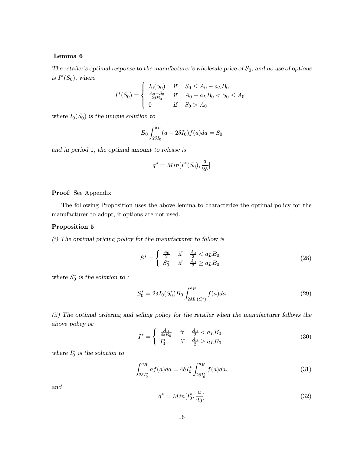### Lemma 6

The retailer's optimal response to the manufacturer's wholesale price of  $S_0$ , and no use of options is  $I^*(S_0)$ , where

$$
I^*(S_0) = \begin{cases} I_0(S_0) & \text{if } S_0 \le A_0 - a_L B_0 \\ \frac{A_0 - S_0}{2\delta B_0} & \text{if } A_0 - a_L B_0 < S_0 \le A_0 \\ 0 & \text{if } S_0 > A_0 \end{cases}
$$

where  $I_0(S_0)$  is the unique solution to

$$
B_0 \int_{2\delta I_0}^{a_H} (a - 2\delta I_0) f(a) da = S_0
$$

and in period 1, the optimal amount to release is

$$
q^*=Min[I^*(S_0),\frac{a}{2\delta}]
$$

### Proof: See Appendix

The following Proposition uses the above lemma to characterize the optimal policy for the manufacturer to adopt, if options are not used.

### Proposition 5

(i) The optimal pricing policy for the manufacturer to follow is

$$
S^* = \begin{cases} \frac{A_0}{2} & \text{if } \frac{A_0}{2} < a_L B_0\\ S_0^* & \text{if } \frac{A_0}{2} \ge a_L B_0 \end{cases}
$$
 (28)

where  $S_0^*$  is the solution to:

$$
S_0^* = 2\delta I_0(S_0^*) B_0 \int_{2\delta I_0(S_0^*)}^{a_H} f(a) da \tag{29}
$$

(ii) The optimal ordering and selling policy for the retailer when the manufacturer follows the above policy is:

$$
I^* = \begin{cases} \frac{A_0}{4\delta B_0} & \text{if } \frac{A_0}{2} < a_L B_0\\ I_0^* & \text{if } \frac{A_0}{2} \ge a_L B_0 \end{cases}
$$
(30)

where  $I_0^*$  is the solution to

$$
\int_{2\delta I_0^*}^{a_H} af(a)da = 4\delta I_0^* \int_{2\delta I_0^*}^{a_H} f(a)da.
$$
 (31)

and

$$
q^* = Min[I_0^*, \frac{a}{2\delta}]
$$
\n(32)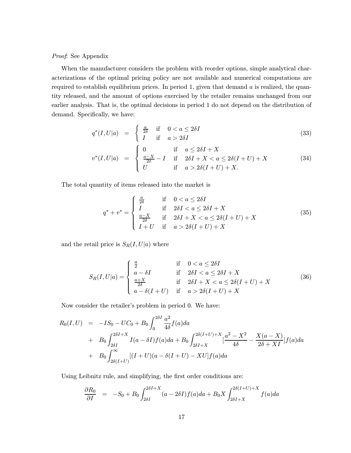### Proof: See Appendix

When the manufacturer considers the problem with reorder options, simple analytical characterizations of the optimal pricing policy are not available and numerical computations are required to establish equilibrium prices. In period 1, given that demand  $a$  is realized, the quantity released, and the amount of options exercised by the retailer remains unchanged from our earlier analysis. That is, the optimal decisions in period 1 do not depend on the distribution of demand. Specifically, we have:

$$
q^*(I, U|a) = \begin{cases} \frac{a}{2\delta} & \text{if } 0 < a \le 2\delta I \\ I & \text{if } a > 2\delta I \end{cases}
$$
 (33)

$$
v^*(I, U|a) = \begin{cases} 0 & \text{if } a \le 2\delta I + X \\ \frac{a - X}{2\delta} - I & \text{if } 2\delta I + X < a \le 2\delta(I + U) + X \\ U & \text{if } a > 2\delta(I + U) + X. \end{cases}
$$
(34)

The total quantity of items released into the market is

$$
q^* + v^* = \begin{cases} \frac{a}{2\delta} & \text{if } 0 < a \le 2\delta I \\ I & \text{if } 2\delta I < a \le 2\delta I + X \\ \frac{a - X}{2\delta} & \text{if } 2\delta I + X < a \le 2\delta(I + U) + X \\ I + U & \text{if } a > 2\delta(I + U) + X \end{cases} \tag{35}
$$

and the retail price is  $S_R(I, U|a)$  where

$$
S_R(I, U|a) = \begin{cases} \frac{a}{2} & \text{if } 0 < a \le 2\delta I \\ a - \delta I & \text{if } 2\delta I < a \le 2\delta I + X \\ \frac{a + X}{2\delta} & \text{if } 2\delta I + X < a \le 2\delta(I + U) + X \\ a - \delta(I + U) & \text{if } a > 2\delta(I + U) + X \end{cases}
$$
(36)

Now consider the retailer's problem in period 0. We have:

$$
R_0(I, U) = -IS_0 - UC_0 + B_0 \int_0^{2\delta I} \frac{a^2}{4\delta} f(a) da
$$
  
+  $B_0 \int_{2\delta I}^{2\delta I + X} I(a - \delta I) f(a) da + B_0 \int_{2\delta I + X}^{2\delta (I + U) + X} \frac{a^2 - X^2}{4\delta} - \frac{X(a - X)}{2\delta + XI} f(a) da$   
+  $B_0 \int_{2\delta (I + U)}^{\infty} [(I + U)(a - \delta (I + U) - XU] f(a) da$ 

Using Leibnitz rule, and simplifying, the first order conditions are:

$$
\frac{\partial R_0}{\partial I} = -S_0 + B_0 \int_{2\delta I}^{2\delta I + X} (a - 2\delta I) f(a) da + B_0 X \int_{2\delta I + X}^{2\delta(I+U) + X} f(a) da
$$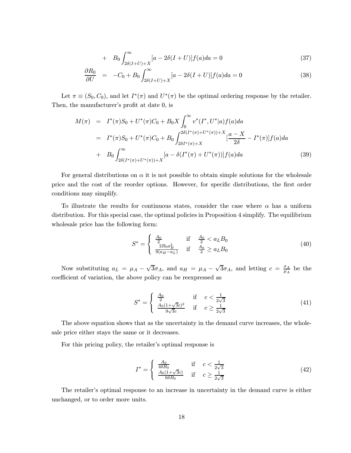+ 
$$
B_0 \int_{2\delta(I+U)+X}^{\infty} [a-2\delta(I+U)] f(a)da = 0
$$
 (37)

$$
\frac{\partial R_0}{\partial U} = -C_0 + B_0 \int_{2\delta(I+U)+X}^{\infty} [a - 2\delta(I+U)] f(a) da = 0 \tag{38}
$$

Let  $\pi \equiv (S_0, C_0)$ , and let  $I^*(\pi)$  and  $U^*(\pi)$  be the optimal ordering response by the retailer. Then, the manufacturer's profit at date 0, is

$$
M(\pi) = I^*(\pi)S_0 + U^*(\pi)C_0 + B_0X \int_0^{\infty} v^*(I^*, U^*|a) f(a)da
$$
  
\n
$$
= I^*(\pi)S_0 + U^*(\pi)C_0 + B_0 \int_{2\delta I^*(\pi)+V^*}^{2\delta(I^*(\pi)+U^*(\pi))+X} [\frac{a-X}{2\delta} - I^*(\pi)] f(a)da
$$
  
\n
$$
+ B_0 \int_{2\delta(I^*(\pi)+U^*(\pi))+X}^{\infty} [a - \delta(I^*(\pi)+U^*(\pi))] f(a)da
$$
(39)

For general distributions on  $\alpha$  it is not possible to obtain simple solutions for the wholesale price and the cost of the reorder options. However, for specific distributions, the first order conditions may simplify.

To illustrate the results for continuous states, consider the case where  $\alpha$  has a uniform distribution. For this special case, the optimal policies in Proposition 4 simplify. The equilibrium wholesale price has the following form:

$$
S^* = \begin{cases} \frac{A_0}{2} & \text{if } \frac{A_0}{2} < a_L B_0\\ \frac{2B_0 a_H^2}{9(a_H - a_L)} & \text{if } \frac{A_0}{2} \ge a_L B_0 \end{cases}
$$
(40)

Now substituting  $a_L = \mu_A - \sqrt{3}\sigma_A$ , and  $a_H = \mu_A - \sqrt{3}\sigma_A$ , and letting  $c = \frac{\sigma_A}{\mu_A}$  be the coefficient of variation, the above policy can be reexpressed as

$$
S^* = \begin{cases} \frac{A_0}{2} & \text{if } c < \frac{1}{2\sqrt{3}}\\ \frac{A_0(1+\sqrt{3}c)^2}{9\sqrt{3}c} & \text{if } c \ge \frac{1}{2\sqrt{3}} \end{cases}
$$
(41)

The above equation shows that as the uncertainty in the demand curve increases, the wholesale price either stays the same or it decreases.

For this pricing policy, the retailer's optimal response is

$$
I^* = \begin{cases} \frac{A_0}{4\delta B_0} & \text{if } c < \frac{1}{2\sqrt{3}}\\ \frac{A_0(1+\sqrt{3}c)}{6\delta B_0} & \text{if } c \ge \frac{1}{2\sqrt{3}} \end{cases}
$$
(42)

The retailer's optimal response to an increase in uncertainty in the demand curve is either unchanged, or to order more units.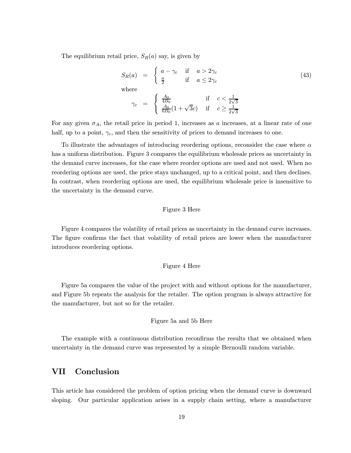The equilibrium retail price,  $S_R(a)$  say, is given by

$$
S_R(a) = \begin{cases} a - \gamma_c & \text{if } a > 2\gamma_c \\ \frac{a}{2} & \text{if } a \le 2\gamma_c \end{cases}
$$
  
where  

$$
\gamma_c = \begin{cases} \frac{A_0}{4B_0} & \text{if } c < \frac{1}{2\sqrt{3}} \\ \frac{A_0}{6B_0}(1 + \sqrt{3}c) & \text{if } c \ge \frac{1}{2\sqrt{3}} \end{cases}
$$
 (43)

For any given  $\sigma_A$ , the retail price in period 1, increases as a increases, at a linear rate of one half, up to a point,  $\gamma_c$ , and then the sensitivity of prices to demand increases to one.

To illustrate the advantages of introducing reordering options, reconsider the case where  $\alpha$ has a uniform distribution. Figure 3 compares the equilibrium wholesale prices as uncertainty in the demand curve increases, for the case where reorder options are used and not used. When no reordering options are used, the price stays unchanged, up to a critical point, and then declines. In contrast, when reordering options are used, the equilibrium wholesale price is insensitive to the uncertainty in the demand curve.

#### Figure 3 Here

Figure 4 compares the volatility of retail prices as uncertainty in the demand curve increases. The figure confirms the fact that volatility of retail prices are lower when the manufacturer introduces reordering options.

### Figure 4 Here

Figure 5a compares the value of the project with and without options for the manufacturer, and Figure 5b repeats the analysis for the retailer. The option program is always attractive for the manufacturer, but not so for the retailer.

### Figure 5a and 5b Here

The example with a continuous distribution reconfirms the results that we obtained when uncertainty in the demand curve was represented by a simple Bernoulli random variable.

### VII Conclusion

This article has considered the problem of option pricing when the demand curve is downward sloping. Our particular application arises in a supply chain setting, where a manufacturer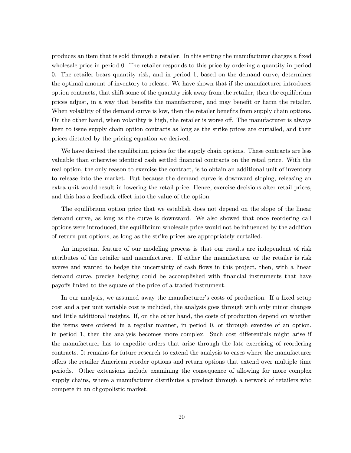produces an item that is sold through a retailer. In this setting the manufacturer charges a fixed wholesale price in period 0. The retailer responds to this price by ordering a quantity in period 0. The retailer bears quantity risk, and in period 1, based on the demand curve, determines the optimal amount of inventory to release. We have shown that if the manufacturer introduces option contracts, that shift some of the quantity risk away from the retailer, then the equilibrium prices adjust, in a way that benefits the manufacturer, and may benefit or harm the retailer. When volatility of the demand curve is low, then the retailer benefits from supply chain options. On the other hand, when volatility is high, the retailer is worse off. The manufacturer is always keen to issue supply chain option contracts as long as the strike prices are curtailed, and their prices dictated by the pricing equation we derived.

We have derived the equilibrium prices for the supply chain options. These contracts are less valuable than otherwise identical cash settled financial contracts on the retail price. With the real option, the only reason to exercise the contract, is to obtain an additional unit of inventory to release into the market. But because the demand curve is downward sloping, releasing an extra unit would result in lowering the retail price. Hence, exercise decisions alter retail prices, and this has a feedback effect into the value of the option.

The equilibrium option price that we establish does not depend on the slope of the linear demand curve, as long as the curve is downward. We also showed that once reordering call options were introduced, the equilibrium wholesale price would not be influenced by the addition of return put options, as long as the strike prices are appropriately curtailed.

An important feature of our modeling process is that our results are independent of risk attributes of the retailer and manufacturer. If either the manufacturer or the retailer is risk averse and wanted to hedge the uncertainty of cash flows in this project, then, with a linear demand curve, precise hedging could be accomplished with financial instruments that have payoffs linked to the square of the price of a traded instrument.

In our analysis, we assumed away the manufacturer's costs of production. If a fixed setup cost and a per unit variable cost is included, the analysis goes through with only minor changes and little additional insights. If, on the other hand, the costs of production depend on whether the items were ordered in a regular manner, in period 0, or through exercise of an option, in period 1, then the analysis becomes more complex. Such cost differentials might arise if the manufacturer has to expedite orders that arise through the late exercising of reordering contracts. It remains for future research to extend the analysis to cases where the manufacturer offers the retailer American reorder options and return options that extend over multiple time periods. Other extensions include examining the consequence of allowing for more complex supply chains, where a manufacturer distributes a product through a network of retailers who compete in an oligopolistic market.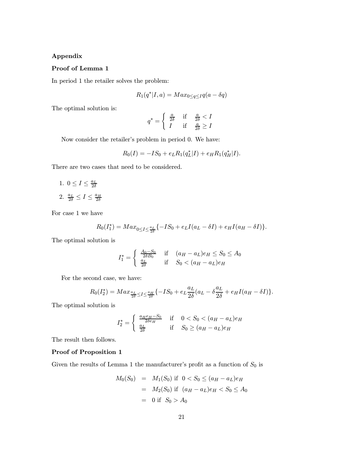### Appendix

### Proof of Lemma 1

In period 1 the retailer solves the problem:

$$
R_1(q^*|I,a) = Max_{0 \le q \le I}q(a - \delta q)
$$

The optimal solution is:

$$
q^* = \begin{cases} \frac{a}{2\delta} & \text{if } \frac{a}{2\delta} < I \\ I & \text{if } \frac{a}{2\delta} \ge I \end{cases}
$$

Now consider the retailer's problem in period 0. We have:

$$
R_0(I) = -IS_0 + e_L R_1(q_L^*|I) + e_H R_1(q_H^*|I).
$$

There are two cases that need to be considered.

1.  $0 \leq I \leq \frac{a_L}{2\delta}$ 2.  $\frac{a_L}{2\delta} \leq I \leq \frac{a_H}{2\delta}$ 

For case 1 we have

$$
R_0(I_1^*) = Max_{0 \le I \le \frac{a_I}{2\delta}} \{-IS_0 + e_L I(a_L - \delta I) + e_H I(a_H - \delta I)\}.
$$

The optimal solution is

$$
I_1^* = \begin{cases} \frac{A_0 - S_0}{2\delta B_0} & \text{if } (a_H - a_L)e_H \le S_0 \le A_0\\ \frac{a_L}{2\delta} & \text{if } S_0 < (a_H - a_L)e_H \end{cases}
$$

For the second case, we have:

$$
R_0(I_2^*)=Max_{\frac{a_L}{2\delta}\leq I\leq \frac{a_H}{2\delta}}\{-IS_0+e_L\frac{a_L}{2\delta}(a_L-\delta\frac{a_L}{2\delta}+e_HI(a_H-\delta I)\}.
$$

The optimal solution is

$$
I_2^* = \begin{cases} \frac{a_H e_H - S_0}{2\delta e_H} & \text{if } 0 < S_0 < (a_H - a_L)e_H\\ \frac{a_L}{2\delta} & \text{if } S_0 \ge (a_H - a_L)e_H \end{cases}
$$

The result then follows.

### Proof of Proposition 1

Given the results of Lemma 1 the manufacturer's profit as a function of  $S_0$  is

$$
M_0(S_0) = M_1(S_0) \text{ if } 0 < S_0 \le (a_H - a_L)e_H
$$
  
=  $M_2(S_0) \text{ if } (a_H - a_L)e_H < S_0 \le A_0$   
= 0 if  $S_0 > A_0$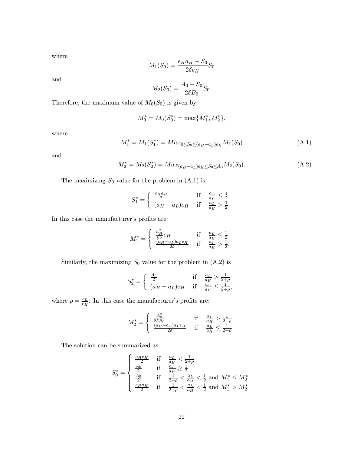where

$$
M_1(S_0) = \frac{e_H a_H - S_0}{2\delta e_H} S_0
$$

and

$$
M_2(S_0) = \frac{A_0 - S_0}{2\delta B_0} S_0.
$$

Therefore, the maximum value of  $M_0(S_0)$  is given by

$$
M_0^* = M_0(S_0^*) = \max\{M_1^*, M_2^*\},
$$

where

$$
M_1^* = M_1(S_1^*) = Max_{0 \le S_0 \le (a_H - a_L)e_H} M_1(S_0)
$$
\n(A.1)

and

$$
M_2^* = M_2(S_2^*) = Max_{(a_H - a_L)e_H \le S_0 \le A_0} M_2(S_0).
$$
 (A.2)

The maximizing  $S_0$  value for the problem in  $(A.1)$  is

$$
S_1^* = \begin{cases} \frac{e_H a_H}{2} & \text{if } \frac{a_L}{a_H} \le \frac{1}{2} \\ (a_H - a_L)e_H & \text{if } \frac{a_L}{a_H} > \frac{1}{2} \end{cases}
$$

In this case the manufacturer's profits are:

$$
M_1^* = \begin{cases} \frac{a_H^2}{8\delta} e_H & \text{if } \frac{a_L}{a_H} \le \frac{1}{2} \\ \frac{(a_H - a_L)a_L e_H}{2\delta} & \text{if } \frac{a_L}{a_H} > \frac{1}{2}. \end{cases}
$$

Similarly, the maximizing  $S_0$  value for the problem in  $(A.2)$  is

$$
S_2^* = \begin{cases} \frac{A_0}{2} & \text{if } \frac{a_L}{a_H} > \frac{1}{2+\rho} \\ (a_H - a_L)e_H & \text{if } \frac{a_L}{a_H} \le \frac{1}{2+\rho}, \end{cases}
$$

where  $\rho = \frac{e_L}{e_H}$ . In this case the manufacturer's profits are:

 $\overline{a}$ 

$$
M_2^* = \begin{cases} \frac{A_0^2}{8\delta B_0} & \text{if} \quad \frac{a_L}{a_H} > \frac{1}{2+\rho} \\ \frac{(a_H - a_L)a_L e_H}{2\delta} & \text{if} \quad \frac{a_L}{a_H} \le \frac{1}{2+\rho} \end{cases}
$$

The solution can be summarized as

$$
S_0^* = \begin{cases} \frac{a_{H}e_{H}}{2} & \text{if } \frac{a_{L}}{a_{H}} < \frac{1}{2+\rho} \\ \frac{A_0}{2} & \text{if } \frac{a_{L}}{a_{H}} \ge \frac{1}{2} \\ \frac{A_0}{2} & \text{if } \frac{1}{2+\rho} < \frac{a_{L}}{a_{H}} < \frac{1}{2} \text{ and } M_1^* \le M_2^* \\ \frac{e_{H}a_{H}}{2} & \text{if } \frac{1}{2+\rho} < \frac{a_{L}}{a_{H}} < \frac{1}{2} \text{ and } M_1^* > M_2^* \end{cases}
$$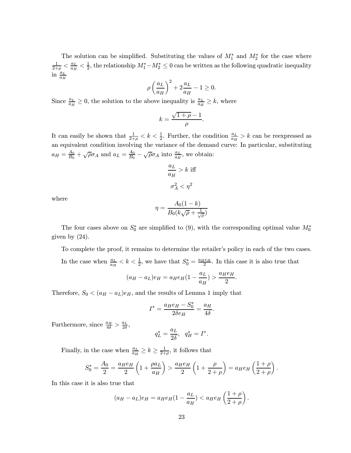The solution can be simplified. Substituting the values of  $M_1^*$  and  $M_2^*$  for the case where  $\frac{1}{2+\rho}<\frac{a_L}{a_H}<\frac{1}{2},$  the relationship  $M_1^*-M_2^*\leq 0$  can be written as the following quadratic inequality in  $a_H$ 

$$
\rho\left(\frac{a_L}{a_H}\right)^2+2\frac{a_L}{a_H}-1\geq 0.
$$

Since  $\frac{a_L}{a_H} \ge 0$ , the solution to the above inequality is  $\frac{a_L}{a_H} \ge k$ , where

$$
k = \frac{\sqrt{1+\rho} - 1}{\rho}.
$$

It can easily be shown that  $\frac{1}{2+\rho} < k < \frac{1}{2}$ . Further, the condition  $\frac{a_L}{a_H} > k$  can be reexpressed as an equivalent condition involving the variance of the demand curve: In particular, substituting  $a_H = \frac{A_0}{B_0} + \sqrt{\rho} \sigma_A$  and  $a_L = \frac{A_0}{B_0} - \sqrt{\rho} \sigma_A$  into  $\frac{a_L}{a_H}$ , we obtain:

$$
\frac{a_L}{a_H} > k \text{ iff}
$$

$$
\sigma_A^2 < \eta^2
$$

where

$$
\eta = \frac{A_0(1-k)}{B_0(k\sqrt{\rho} + \frac{1}{\sqrt{\rho}})}
$$

The four cases above on  $S_0^*$  are simplified to (9), with the corresponding optimal value  $M_0^*$ given by (24).

To complete the proof, it remains to determine the retailer's policy in each of the two cases. In the case when  $\frac{a_L}{a_H} < k < \frac{1}{2}$ , we have that  $S_0^* = \frac{a_H e_H}{2}$ . In this case it is also true that

$$
(a_H - a_L)e_H = a_H e_H (1 - \frac{a_L}{a_H}) > \frac{a_H e_H}{2}.
$$

Therefore,  $S_0 < (a_H - a_L)e_H$ , and the results of Lemma 1 imply that

$$
I^* = \frac{a_He_H - S_0^*}{2\delta e_H} = \frac{a_H}{4\delta}.
$$

Furthermore, since  $\frac{a_H}{4\delta} > \frac{a_L}{2\delta}$ ,

$$
q_L^* = \frac{a_L}{2\delta}, \quad q_H^* = I^*.
$$

Finally, in the case when  $\frac{a_L}{a_H} \ge k \ge \frac{1}{2+\rho}$ , it follows that

$$
S_0^* = \frac{A_0}{2} = \frac{a_He_H}{2} \left( 1 + \frac{\rho a_L}{a_H} \right) > \frac{a_He_H}{2} \left( 1 + \frac{\rho}{2 + \rho} \right) = a_He_H \left( \frac{1 + \rho}{2 + \rho} \right).
$$

In this case it is also true that

$$
(a_H - a_L)e_H = a_H e_H (1 - \frac{a_L}{a_H}) < a_H e_H \left(\frac{1+\rho}{2+\rho}\right).
$$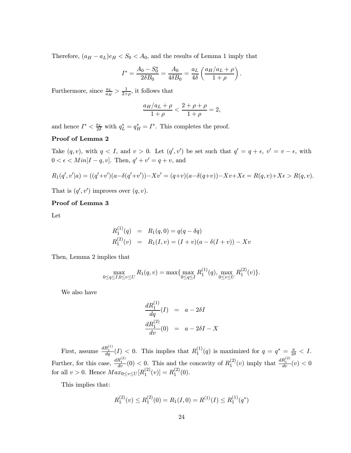Therefore,  $(a_H - a_L)e_H < S_0 < A_0$ , and the results of Lemma 1 imply that

$$
I^* = \frac{A_0 - S_0^*}{2\delta B_0} = \frac{A_0}{4\delta B_0} = \frac{a_L}{4\delta} \left( \frac{a_H/a_L + \rho}{1 + \rho} \right)
$$

:

Furthermore, since  $\frac{a_L}{a_H} > \frac{1}{2+\rho}$ , it follows that

$$
\frac{a_H/a_L + \rho}{1+\rho} < \frac{2+\rho+\rho}{1+\rho} = 2,
$$

and hence  $I^* < \frac{a_L}{2\delta}$  with  $q_L^* = q_H^* = I^*$ . This completes the proof.

### Proof of Lemma 2

Take  $(q, v)$ , with  $q < I$ , and  $v > 0$ . Let  $(q', v')$  be set such that  $q' = q + \epsilon$ ,  $v' = v - \epsilon$ , with  $0<\epsilon Then,  $q'+v'=q+v,$  and$ 

$$
R_1(q',v'|a) = ((q'+v')(a-\delta(q'+v')) - Xv' = (q+v)(a-\delta(q+v)) - Xv + X\epsilon = R(q,v) + X\epsilon > R(q,v).
$$

That is  $(q', v')$  improves over  $(q, v)$ .

### Proof of Lemma 3

Let

$$
R_1^{(1)}(q) = R_1(q, 0) = q(q - \delta q)
$$
  
\n
$$
R_1^{(2)}(v) = R_1(I, v) = (I + v)(a - \delta(I + v)) - Xv
$$

Then, Lemma 2 implies that

$$
\max_{0 \le q \le I, 0 \le v \le U} R_1(q, v) = \max\{ \max_{0 \le q \le I} R_1^{(1)}(q), \max_{0 \le v \le U} R_1^{(2)}(v) \}.
$$

We also have

$$
\frac{dR_1^{(1)}}{dq}(I) = a - 2\delta I
$$

$$
\frac{dR_1^{(2)}}{dv}(0) = a - 2\delta I - X
$$

First, assume  $\frac{dR_1^{(1)}}{dq}(I) < 0$ . This implies that  $R_1^{(1)}(q)$  is maximized for  $q = q^* = \frac{a}{2\delta} < I$ . Further, for this case,  $\frac{dR_1^{(2)}}{dv}(0) < 0$ . This and the concavity of  $R_1^{(2)}(v)$  imply that  $\frac{dR_1^{(2)}}{dv}(v) < 0$ for all  $v > 0$ . Hence  $Max_{0 \le v \le U}[R_1^{(2)}(v)] = R_1^{(2)}(0)$ .

This implies that:

$$
R_1^{(2)}(v) \le R_1^{(2)}(0) = R_1(I, 0) = R^{(1)}(I) \le R_1^{(1)}(q^*)
$$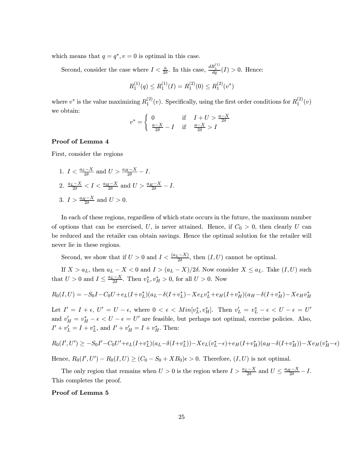which means that  $q = q^*$ ,  $v = 0$  is optimal in this case.

Second, consider the case where  $I < \frac{a}{2\delta}$ . In this case,  $\frac{dR_1^{(1)}}{dq}(I) > 0$ . Hence:

$$
R_1^{(1)}(q) \le R_1^{(1)}(I) = R_1^{(2)}(0) \le R_1^{(2)}(v^*)
$$

where  $v^*$  is the value maximizing  $R_1^{(2)}(v)$ . Specifically, using the first order conditions for  $R_1^{(2)}(v)$ we obtain:

$$
v^* = \begin{cases} 0 & \text{if } I + U > \frac{a - X}{2\delta} \\ \frac{a - X}{2\delta} - I & \text{if } \frac{a - X}{2\delta} > I \end{cases}
$$

### Proof of Lemma 4

First, consider the regions

1.  $I < \frac{a_L - X}{2\delta}$  and  $U > \frac{a_H - X}{2\delta} - I$ . 2.  $\frac{a_L-X}{2\delta} < I < \frac{a_H-X}{2\delta}$  and  $U > \frac{a_H-X}{2\delta} - I$ . 3.  $I > \frac{a_H - X}{2\delta}$  and  $U > 0$ .

In each of these regions, regardless of which state occurs in the future, the maximum number of options that can be exercised, U, is never attained. Hence, if  $C_0 > 0$ , then clearly U can be reduced and the retailer can obtain savings. Hence the optimal solution for the retailer will never lie in these regions.

Second, we show that if  $U > 0$  and  $I < \frac{(a_L - X)}{2\delta}$ , then  $(I, U)$  cannot be optimal.

If  $X>a_L$ , then  $a_L - X < 0$  and  $I > (a_L - X)/2\delta$ . Now consider  $X \le a_L$ . Take  $(I, U)$  such that  $U > 0$  and  $I \leq \frac{a_L - X}{2\delta}$ . Then  $v_L^*$ ,  $v_H^* > 0$ , for all  $U > 0$ . Now

$$
R_0(I, U) = -S_0I - C_0U + e_L(I + v_L^*)(a_L - \delta(I + v_L^*) - Xe_Lv_L^* + e_H(I + v_H^*)(a_H - \delta(I + v_H^*) - Xe_Hv_H^*)
$$

Let  $I'=I+\epsilon, U'=U-\epsilon$ , where  $0<\epsilon< Min[v_L^*, v_H^*]$ . Then  $v_L'=v_L^*-\epsilon < U-\epsilon = U'$ and  $v'_H = v_H^* - \epsilon < U - \epsilon = U'$  are feasible, but perhaps not optimal, exercise policies. Also,  $I' + v'_L = I + v_L^*$ , and  $I' + v'_H = I + v_H^*$ . Then:

$$
R_0(I',U') \ge -S_0I' - C_0U' + e_L(I + v_L^*)(a_L - \delta(I + v_L^*)) - Xe_L(v_L^* - \epsilon) + e_H(I + v_H^*)(a_H - \delta(I + v_H^*)) - Xe_H(v_H^* - \epsilon)
$$

Hence,  $R_0(I', U') - R_0(I, U) \ge (C_0 - S_0 + XB_0)\epsilon > 0$ . Therefore,  $(I, U)$  is not optimal.

The only region that remains when  $U > 0$  is the region where  $I > \frac{a_L - X}{2\delta}$  and  $U \le \frac{a_H - X}{2\delta} - I$ . This completes the proof.

#### Proof of Lemma 5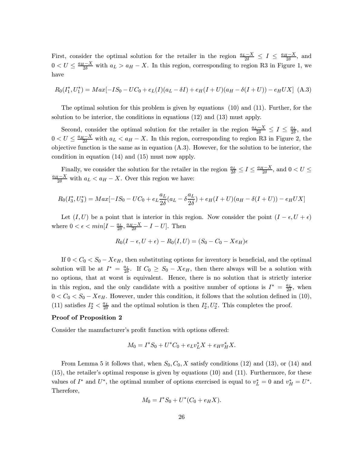First, consider the optimal solution for the retailer in the region  $\frac{a_L - X}{2\delta} \le I \le \frac{a_H - X}{2\delta}$ , and  $0 < U \leq \frac{a_H - X}{2\delta}$  with  $a_L > a_H - X$ . In this region, corresponding to region R3 in Figure 1, we have

$$
R_0(I_1^*, U_1^*) = Max[-IS_0 - UC_0 + e_L(I)(a_L - \delta I) + e_H(I + U)(a_H - \delta(I + U)) - e_HUX] \tag{A.3}
$$

The optimal solution for this problem is given by equations (10) and (11). Further, for the solution to be interior, the conditions in equations (12) and (13) must apply.

Second, consider the optimal solution for the retailer in the region  $\frac{a_L - X}{2\delta} \le I \le \frac{a_L}{2\delta}$ , and  $0 < U \leq \frac{a_H - X}{2\delta}$  with  $a_L < a_H - X$ . In this region, corresponding to region R3 in Figure 2, the objective function is the same as in equation (A.3). However, for the solution to be interior, the condition in equation (14) and (15) must now apply.

Finally, we consider the solution for the retailer in the region  $\frac{a_L}{2\delta} \leq I \leq \frac{a_H - X}{2\delta}$ , and  $0 < U \leq$  $\frac{a_H - X}{2\delta}$  with  $a_L < a_H - X$ . Over this region we have:

$$
R_0(I_3^*, U_3^*) = Max[-IS_0 - UC_0 + e_L \frac{a_L}{2\delta}(a_L - \delta \frac{a_L}{2\delta}) + e_H(I+U)(a_H - \delta(I+U)) - e_HUX]
$$

Let  $(I, U)$  be a point that is interior in this region. Now consider the point  $(I - \epsilon, U + \epsilon)$ where  $0 < \epsilon < min[I - \frac{a_L}{2\delta}, \frac{a_H - X}{2\delta} - I - U]$ . Then

$$
R_0(I - \epsilon, U + \epsilon) - R_0(I, U) = (S_0 - C_0 - Xe_H)\epsilon
$$

If  $0 < C_0 < S_0 - Xe_H$ , then substituting options for inventory is beneficial, and the optimal solution will be at  $I^* = \frac{a_L}{2\delta}$ . If  $C_0 \geq S_0 - Xe_H$ , then there always will be a solution with no options, that at worst is equivalent. Hence, there is no solution that is strictly interior in this region, and the only candidate with a positive number of options is  $I^* = \frac{a_L}{2\delta}$ , when  $0 < C_0 < S_0 - Xe_H$ . However, under this condition, it follows that the solution defined in (10), (11) satisfies  $I_2^* < \frac{a_L}{2\delta}$  and the optimal solution is then  $I_2^*, U_2^*$ . This completes the proof.

### Proof of Proposition 2

Consider the manufacturer's profit function with options offered:

$$
M_0 = I^* S_0 + U^* C_0 + e_L v_L^* X + e_H v_H^* X.
$$

From Lemma 5 it follows that, when  $S_0$ ,  $C_0$ , X satisfy conditions (12) and (13), or (14) and (15), the retailer's optimal response is given by equations (10) and (11). Furthermore, for these values of  $I^*$  and  $U^*$ , the optimal number of options exercised is equal to  $v_L^* = 0$  and  $v_H^* = U^*$ . Therefore,

$$
M_0 = I^*S_0 + U^*(C_0 + e_H X).
$$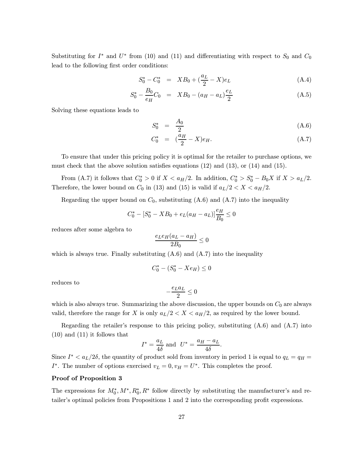Substituting for  $I^*$  and  $U^*$  from (10) and (11) and differentiating with respect to  $S_0$  and  $C_0$ lead to the following first order conditions:

$$
S_0^* - C_0^* = X B_0 + (\frac{a_L}{2} - X) e_L \tag{A.4}
$$

$$
S_0^* - \frac{B_0}{e_H} C_0 = X B_0 - (a_H - a_L) \frac{e_L}{2}
$$
 (A.5)

Solving these equations leads to

$$
S_0^* = \frac{A_0}{2} \tag{A.6}
$$

$$
C_0^* = (\frac{a_H}{2} - X)e_H.
$$
 (A.7)

To ensure that under this pricing policy it is optimal for the retailer to purchase options, we must check that the above solution satisfies equations  $(12)$  and  $(13)$ , or  $(14)$  and  $(15)$ .

From (A.7) it follows that  $C_0^* > 0$  if  $X < a_H/2$ . In addition,  $C_0^* > S_0^* - B_0 X$  if  $X > a_L/2$ . Therefore, the lower bound on  $C_0$  in (13) and (15) is valid if  $a_L/2 < X < a_H/2$ .

Regarding the upper bound on  $C_0$ , substituting  $(A.6)$  and  $(A.7)$  into the inequality

$$
C_0^* - [S_0^* - XB_0 + e_L(a_H - a_L)]\frac{e_H}{B_0} \le 0
$$

reduces after some algebra to

$$
\frac{e_L e_H (a_L - a_H)}{2B_0} \leq 0
$$

which is always true. Finally substituting  $(A.6)$  and  $(A.7)$  into the inequality

$$
C_0^* - (S_0^* - Xe_H) \le 0
$$

reduces to

$$
-\frac{e_L a_L}{2} \leq 0
$$

which is also always true. Summarizing the above discussion, the upper bounds on  $C_0$  are always valid, therefore the range for X is only  $a_L/2 < X < a_H/2$ , as required by the lower bound.

Regarding the retailer's response to this pricing policy, substituting  $(A.6)$  and  $(A.7)$  into (10) and (11) it follows that

$$
I^* = \frac{a_L}{4\delta} \text{ and } U^* = \frac{a_H - a_L}{4\delta}.
$$

Since  $I^* < a_L/2\delta$ , the quantity of product sold from inventory in period 1 is equal to  $q_L = q_H =$ I<sup>\*</sup>. The number of options exercised  $v_L = 0, v_H = U^*$ . This completes the proof.

### Proof of Proposition 3

The expressions for  $M_0^*, M^*, R_0^*, R^*$  follow directly by substituting the manufacturer's and retailer's optimal policies from Propositions 1 and 2 into the corresponding profit expressions.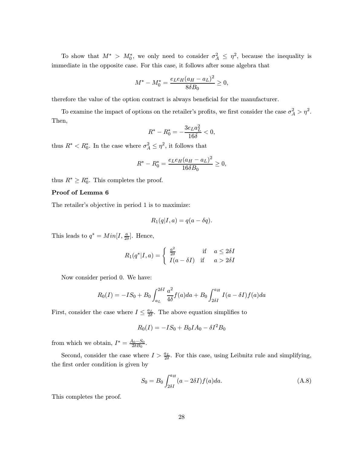To show that  $M^* > M_0^*$ , we only need to consider  $\sigma_A^2 \leq \eta^2$ , because the inequality is immediate in the opposite case. For this case, it follows after some algebra that

$$
M^* - M_0^* = \frac{e_L e_H (a_H - a_L)^2}{8 \delta B_0} \ge 0,
$$

therefore the value of the option contract is always beneficial for the manufacturer.

To examine the impact of options on the retailer's profits, we first consider the case  $\sigma_A^2 > \eta^2$ . Then,

$$
R^* - R_0^* = - \frac{3 e_L a_L^2}{16 \delta} < 0,
$$

thus  $R^* < R_0^*$ . In the case where  $\sigma_A^2 \leq \eta^2$ , it follows that

$$
R^* - R_0^* = \frac{e_L e_H (a_H - a_L)^2}{16 \delta B_0} \ge 0,
$$

thus  $R^* \geq R_0^*$ . This completes the proof.

### Proof of Lemma 6

The retailer's objective in period 1 is to maximize:

$$
R_1(q|I,a) = q(a - \delta q).
$$

This leads to  $q^* = Min[I, \frac{a}{2\delta}]$ . Hence,

$$
R_1(q^*|I,a) = \begin{cases} \frac{a^2}{2\delta} & \text{if } a \le 2\delta I \\ I(a - \delta I) & \text{if } a > 2\delta I \end{cases}
$$

Now consider period 0. We have:

$$
R_0(I) = -IS_0 + B_0 \int_{a_L}^{2\delta I} \frac{a^2}{4\delta} f(a)da + B_0 \int_{2\delta I}^{a_H} I(a - \delta I) f(a)da
$$

First, consider the case where  $I \leq \frac{a_L}{2\delta}$ . The above equation simplifies to

$$
R_0(I) = -IS_0 + B_0IA_0 - \delta I^2B_0
$$

from which we obtain,  $I^* = \frac{A_0 - S_0}{2\delta B_0}$ .

Second, consider the case where  $I > \frac{a_L}{2\delta}$ . For this case, using Leibnitz rule and simplifying, the first order condition is given by

$$
S_0 = B_0 \int_{2\delta I}^{a} (a - 2\delta I) f(a) da.
$$
 (A.8)

This completes the proof.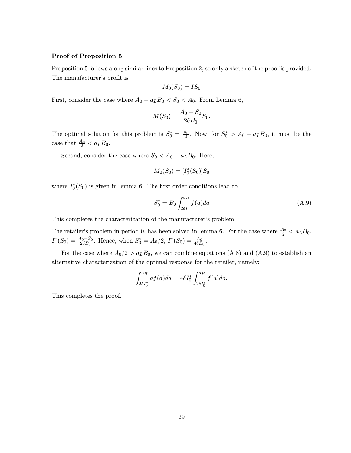### Proof of Proposition 5

Proposition 5 follows along similar lines to Proposition 2, so only a sketch of the proof is provided. The manufacturer's profit is

$$
M_0(S_0) = IS_0
$$

First, consider the case where  $A_0 - a_L B_0 < S_0 < A_0$ . From Lemma 6,

$$
M(S_0) = \frac{A_0 - S_0}{2\delta B_0} S_0.
$$

The optimal solution for this problem is  $S_0^* = \frac{A_0}{2}$ . Now, for  $S_0^* > A_0 - a_L B_0$ , it must be the case that  $\frac{A_0}{2} < a_L B_0$ .

Second, consider the case where  $S_0 < A_0 - a_L B_0$ . Here,

$$
M_0(S_0) = [I_0^*(S_0)]S_0
$$

where  $I_0^*(S_0)$  is given in lemma 6. The first order conditions lead to

$$
S_0^* = B_0 \int_{2\delta I}^{a_H} f(a) da \tag{A.9}
$$

This completes the characterization of the manufacturer's problem.

The retailer's problem in period 0, has been solved in lemma 6. For the case where  $\frac{A_0}{2} < a_L B_0$ ,  $I^*(S_0) = \frac{A_0 - S_0}{2\delta B_0}$ . Hence, when  $S_0^* = A_0/2$ ,  $I^*(S_0) = \frac{A_0}{4\delta B_0}$ .

For the case where  $A_0/2 > a_L B_0$ , we can combine equations (A.8) and (A.9) to establish an alternative characterization of the optimal response for the retailer, namely:

$$
\int_{2\delta I_0^*}^{a_H} af(a)da = 4\delta I_0^* \int_{2\delta I_0^*}^{a_H} f(a)da.
$$

This completes the proof.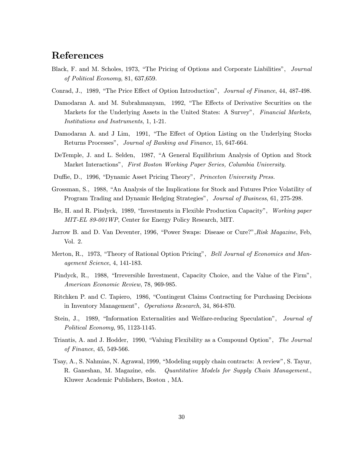# References

- Black, F. and M. Scholes, 1973, "The Pricing of Options and Corporate Liabilities", Journal of Political Economy, 81, 637,659.
- Conrad, J., 1989, "The Price Effect of Option Introduction", Journal of Finance, 44, 487-498.
- Damodaran A. and M. Subrahmanyam, 1992, "The Effects of Derivative Securities on the Markets for the Underlying Assets in the United States: A Survey", Financial Markets, Institutions and Instruments, 1, 1-21.
- Damodaran A. and J Lim, 1991, "The Effect of Option Listing on the Underlying Stocks Returns Processes", Journal of Banking and Finance, 15, 647-664.
- DeTemple, J. and L. Selden, 1987, "A General Equilibrium Analysis of Option and Stock Market Interactions", First Boston Working Paper Series, Columbia University.
- Duffie, D., 1996, "Dynamic Asset Pricing Theory", Princeton University Press.
- Grossman, S., 1988, "An Analysis of the Implications for Stock and Futures Price Volatility of Program Trading and Dynamic Hedging Strategies", Journal of Business, 61, 275-298.
- He, H. and R. Pindyck, 1989, "Investments in Flexible Production Capacity", Working paper MIT-EL 89-001WP, Center for Energy Policy Research, MIT.
- Jarrow B. and D. Van Deventer, 1996, "Power Swaps: Disease or Cure?", Risk Magazine, Feb, Vol. 2.
- Merton, R., 1973, "Theory of Rational Option Pricing", Bell Journal of Economics and Management Science, 4, 141-183.
- Pindyck, R., 1988, "Irreversible Investment, Capacity Choice, and the Value of the Firm", American Economic Review, 78, 969-985.
- Ritchken P. and C. Tapiero, 1986, "Contingent Claims Contracting for Purchasing Decisions in Inventory Management", Operations Research, 34, 864-870.
- Stein, J., 1989, "Information Externalities and Welfare-reducing Speculation", *Journal of* Political Economy, 95, 1123-1145.
- Triantis, A. and J. Hodder, 1990, "Valuing Flexibility as a Compound Option", The Journal of Finance, 45, 549-566.
- Tsay, A., S. Nahmias, N. Agrawal, 1999, "Modeling supply chain contracts: A review", S. Tayur, R. Ganeshan, M. Magazine, eds. Quantitative Models for Supply Chain Management., Kluwer Academic Publishers, Boston , MA.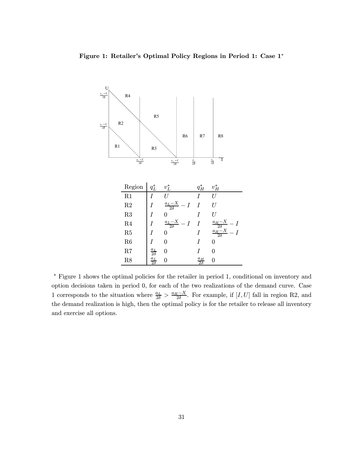

¤ Figure 1 shows the optimal policies for the retailer in period 1, conditional on inventory and option decisions taken in period 0, for each of the two realizations of the demand curve. Case 1 corresponds to the situation where  $\frac{a_L}{2\delta} > \frac{a_H - X}{2\delta}$ . For example, if [I,U] fall in region R2, and the demand realization is high, then the optimal policy is for the retailer to release all inventory and exercise all options.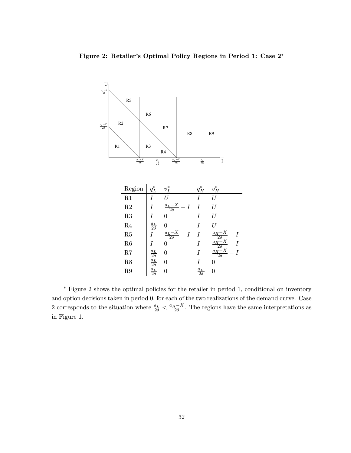Figure 2: Retailer's Optimal Policy Regions in Period 1: Case 2¤



¤ Figure 2 shows the optimal policies for the retailer in period 1, conditional on inventory and option decisions taken in period 0, for each of the two realizations of the demand curve. Case 2 corresponds to the situation where  $\frac{a_L}{2\delta} < \frac{a_H - X}{2\delta}$ . The regions have the same interpretations as in Figure 1.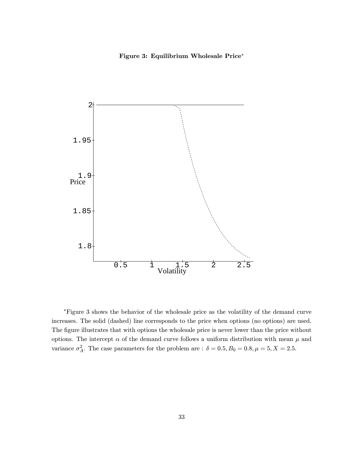### Figure 3: Equilibrium Wholesale Price\*



¤Figure 3 shows the behavior of the wholesale price as the volatility of the demand curve increases. The solid (dashed) line corresponds to the price when options (no options) are used. The figure illustrates that with options the wholesale price is never lower than the price without options. The intercept  $\alpha$  of the demand curve follows a uniform distribution with mean  $\mu$  and variance  $\sigma_A^2$ . The case parameters for the problem are :  $\delta = 0.5, B_0 = 0.8, \mu = 5, X = 2.5$ .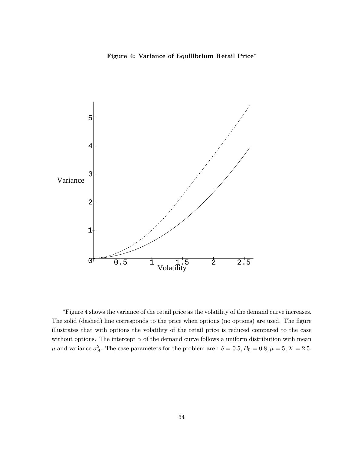Figure 4: Variance of Equilibrium Retail Price\*



¤Figure 4 shows the variance of the retail price as the volatility of the demand curve increases. The solid (dashed) line corresponds to the price when options (no options) are used. The figure illustrates that with options the volatility of the retail price is reduced compared to the case without options. The intercept  $\alpha$  of the demand curve follows a uniform distribution with mean  $\mu$  and variance  $\sigma_A^2$ . The case parameters for the problem are :  $\delta = 0.5, B_0 = 0.8, \mu = 5, X = 2.5$ .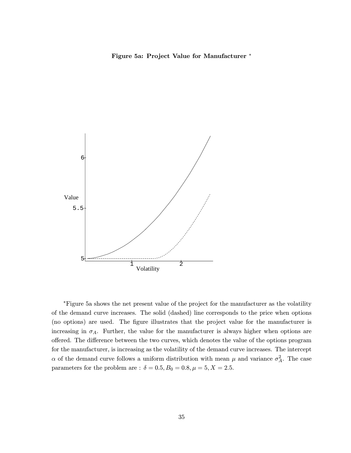Figure 5a: Project Value for Manufacturer \*



¤Figure 5a shows the net present value of the project for the manufacturer as the volatility of the demand curve increases. The solid (dashed) line corresponds to the price when options (no options) are used. The figure illustrates that the project value for the manufacturer is increasing in  $\sigma_A$ . Further, the value for the manufacturer is always higher when options are offered. The difference between the two curves, which denotes the value of the options program for the manufacturer, is increasing as the volatility of the demand curve increases. The intercept  $\alpha$  of the demand curve follows a uniform distribution with mean  $\mu$  and variance  $\sigma_A^2$ . The case parameters for the problem are :  $\delta = 0.5, B_0 = 0.8, \mu = 5, X = 2.5$ .